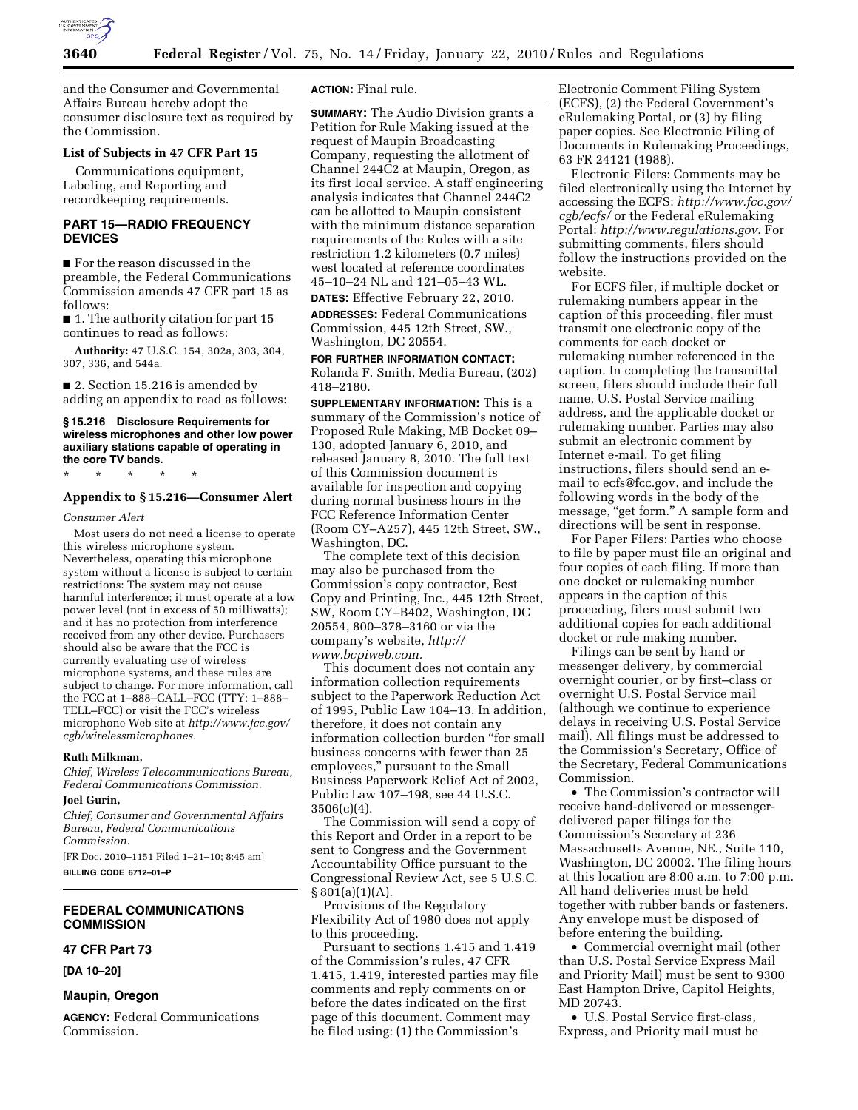

and the Consumer and Governmental Affairs Bureau hereby adopt the consumer disclosure text as required by the Commission.

## **List of Subjects in 47 CFR Part 15**

Communications equipment, Labeling, and Reporting and recordkeeping requirements.

## **PART 15—RADIO FREQUENCY DEVICES**

■ For the reason discussed in the preamble, the Federal Communications Commission amends 47 CFR part 15 as follows:

■ 1. The authority citation for part 15 continues to read as follows:

**Authority:** 47 U.S.C. 154, 302a, 303, 304, 307, 336, and 544a.

■ 2. Section 15.216 is amended by adding an appendix to read as follows:

#### **§ 15.216 Disclosure Requirements for wireless microphones and other low power auxiliary stations capable of operating in the core TV bands.**

\* \* \* \* \*

#### **Appendix to § 15.216—Consumer Alert**

#### *Consumer Alert*

Most users do not need a license to operate this wireless microphone system. Nevertheless, operating this microphone system without a license is subject to certain restrictions: The system may not cause harmful interference; it must operate at a low power level (not in excess of 50 milliwatts); and it has no protection from interference received from any other device. Purchasers should also be aware that the FCC is currently evaluating use of wireless microphone systems, and these rules are subject to change. For more information, call the FCC at 1–888–CALL–FCC (TTY: 1–888– TELL–FCC) or visit the FCC's wireless microphone Web site at *http://www.fcc.gov/ cgb/wirelessmicrophones.* 

#### **Ruth Milkman,**

*Chief, Wireless Telecommunications Bureau, Federal Communications Commission.* 

# **Joel Gurin,**

*Chief, Consumer and Governmental Affairs Bureau, Federal Communications Commission.* 

[FR Doc. 2010–1151 Filed 1–21–10; 8:45 am] **BILLING CODE 6712–01–P** 

## **FEDERAL COMMUNICATIONS COMMISSION**

#### **47 CFR Part 73**

**[DA 10–20]** 

#### **Maupin, Oregon**

**AGENCY:** Federal Communications Commission.

**ACTION:** Final rule.

**SUMMARY:** The Audio Division grants a Petition for Rule Making issued at the request of Maupin Broadcasting Company, requesting the allotment of Channel 244C2 at Maupin, Oregon, as its first local service. A staff engineering analysis indicates that Channel 244C2 can be allotted to Maupin consistent with the minimum distance separation requirements of the Rules with a site restriction 1.2 kilometers (0.7 miles) west located at reference coordinates 45–10–24 NL and 121–05–43 WL. **DATES:** Effective February 22, 2010.

**ADDRESSES:** Federal Communications Commission, 445 12th Street, SW., Washington, DC 20554.

**FOR FURTHER INFORMATION CONTACT:**  Rolanda F. Smith, Media Bureau, (202) 418–2180.

**SUPPLEMENTARY INFORMATION:** This is a summary of the Commission's notice of Proposed Rule Making, MB Docket 09– 130, adopted January 6, 2010, and released January 8, 2010. The full text of this Commission document is available for inspection and copying during normal business hours in the FCC Reference Information Center (Room CY–A257), 445 12th Street, SW., Washington, DC.

The complete text of this decision may also be purchased from the Commission's copy contractor, Best Copy and Printing, Inc., 445 12th Street, SW, Room CY–B402, Washington, DC 20554, 800–378–3160 or via the company's website, *http:// www.bcpiweb.com.* 

This document does not contain any information collection requirements subject to the Paperwork Reduction Act of 1995, Public Law 104–13. In addition, therefore, it does not contain any information collection burden ''for small business concerns with fewer than 25 employees,'' pursuant to the Small Business Paperwork Relief Act of 2002, Public Law 107–198, see 44 U.S.C.  $3506(c)(4)$ .

The Commission will send a copy of this Report and Order in a report to be sent to Congress and the Government Accountability Office pursuant to the Congressional Review Act, see 5 U.S.C.  $§ 801(a)(1)(A).$ 

Provisions of the Regulatory Flexibility Act of 1980 does not apply to this proceeding.

Pursuant to sections 1.415 and 1.419 of the Commission's rules, 47 CFR 1.415, 1.419, interested parties may file comments and reply comments on or before the dates indicated on the first page of this document. Comment may be filed using: (1) the Commission's

Electronic Comment Filing System (ECFS), (2) the Federal Government's eRulemaking Portal, or (3) by filing paper copies. See Electronic Filing of Documents in Rulemaking Proceedings, 63 FR 24121 (1988).

Electronic Filers: Comments may be filed electronically using the Internet by accessing the ECFS: *http://www.fcc.gov/ cgb/ecfs/* or the Federal eRulemaking Portal: *http://www.regulations.gov.* For submitting comments, filers should follow the instructions provided on the website.

For ECFS filer, if multiple docket or rulemaking numbers appear in the caption of this proceeding, filer must transmit one electronic copy of the comments for each docket or rulemaking number referenced in the caption. In completing the transmittal screen, filers should include their full name, U.S. Postal Service mailing address, and the applicable docket or rulemaking number. Parties may also submit an electronic comment by Internet e-mail. To get filing instructions, filers should send an email to ecfs@fcc.gov, and include the following words in the body of the message, "get form." A sample form and directions will be sent in response.

For Paper Filers: Parties who choose to file by paper must file an original and four copies of each filing. If more than one docket or rulemaking number appears in the caption of this proceeding, filers must submit two additional copies for each additional docket or rule making number.

Filings can be sent by hand or messenger delivery, by commercial overnight courier, or by first–class or overnight U.S. Postal Service mail (although we continue to experience delays in receiving U.S. Postal Service mail). All filings must be addressed to the Commission's Secretary, Office of the Secretary, Federal Communications Commission.

• The Commission's contractor will receive hand-delivered or messengerdelivered paper filings for the Commission's Secretary at 236 Massachusetts Avenue, NE., Suite 110, Washington, DC 20002. The filing hours at this location are 8:00 a.m. to 7:00 p.m. All hand deliveries must be held together with rubber bands or fasteners. Any envelope must be disposed of before entering the building.

• Commercial overnight mail (other than U.S. Postal Service Express Mail and Priority Mail) must be sent to 9300 East Hampton Drive, Capitol Heights, MD 20743.

• U.S. Postal Service first-class, Express, and Priority mail must be